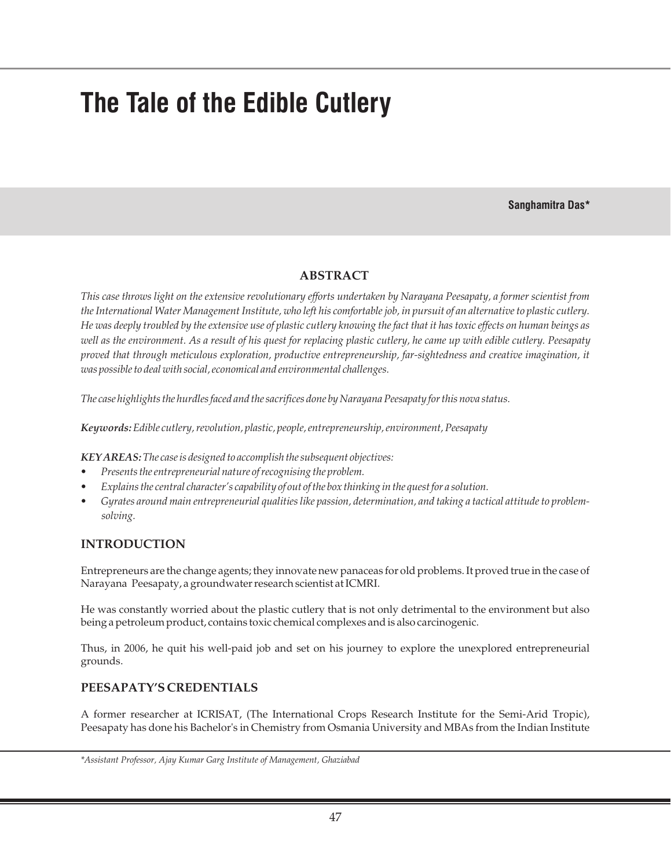# **The Tale of the Edible Cutlery**

### **Sanghamitra Das\***

# **ABSTRACT**

*This case throws light on the extensive revolutionary efforts undertaken by Narayana Peesapaty, a former scientist from the International Water Management Institute, who left his comfortable job, in pursuit of an alternative to plastic cutlery. He was deeply troubled by the extensive use of plastic cutlery knowing the fact that it has toxic effects on human beings as well as the environment. As a result of his quest for replacing plastic cutlery, he came up with edible cutlery. Peesapaty proved that through meticulous exploration, productive entrepreneurship, far-sightedness and creative imagination, it was possible to deal with social, economical and environmental challenges.*

*The case highlights the hurdles faced and the sacrifices done by Narayana Peesapaty for this nova status.*

*Keywords:Edible cutlery, revolution, plastic, people, entrepreneurship, environment, Peesapaty*

*KEY AREAS:The case is designed to accomplish the subsequent objectives:*

- *Presents the entrepreneurial nature of recognising the problem.*
- *Explains the central character's capability of out of the box thinking in the quest for a solution.*
- *Gyrates around main entrepreneurial qualities like passion, determination, and taking a tactical attitude to problemsolving.*

## **INTRODUCTION**

Entrepreneurs are the change agents; they innovate new panaceas for old problems. It proved true in the case of Narayana Peesapaty, a groundwater research scientist at ICMRI.

He was constantly worried about the plastic cutlery that is not only detrimental to the environment but also being a petroleum product, contains toxic chemical complexes and is also carcinogenic.

Thus, in 2006, he quit his well-paid job and set on his journey to explore the unexplored entrepreneurial grounds.

# **PEESAPATY'S CREDENTIALS**

A former researcher at ICRISAT, (The International Crops Research Institute for the Semi-Arid Tropic), Peesapaty has done his Bachelor's in Chemistry from Osmania University and MBAs from the Indian Institute

*\*Assistant Professor, Ajay Kumar Garg Institute of Management, Ghaziabad*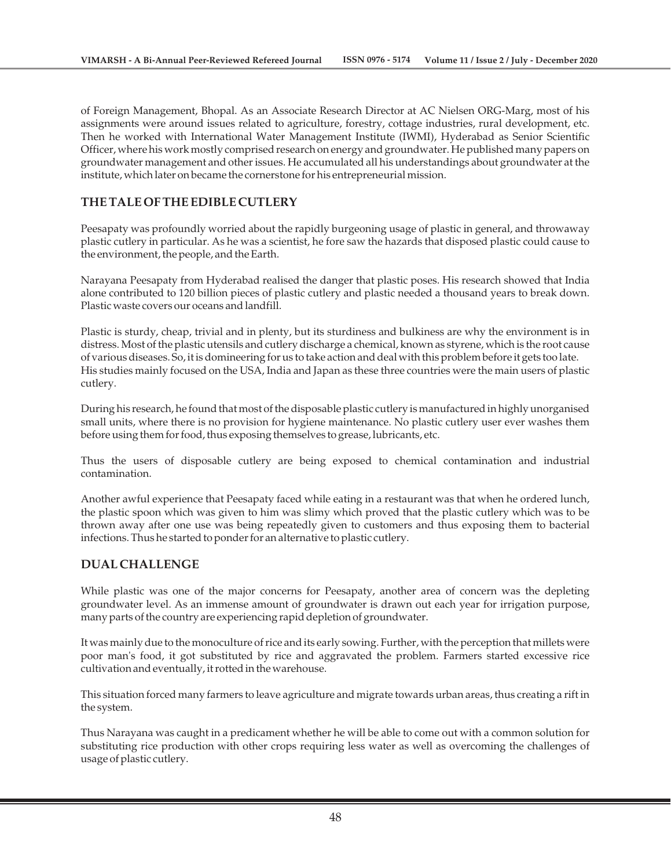of Foreign Management, Bhopal. As an Associate Research Director at AC Nielsen ORG-Marg, most of his assignments were around issues related to agriculture, forestry, cottage industries, rural development, etc. Then he worked with International Water Management Institute (IWMI), Hyderabad as Senior Scientific Officer, where his work mostly comprised research on energy and groundwater. He published many papers on groundwater management and other issues. He accumulated all his understandings about groundwater at the institute, which later on became the cornerstone for his entrepreneurial mission.

# **THE TALE OF THE EDIBLE CUTLERY**

Peesapaty was profoundly worried about the rapidly burgeoning usage of plastic in general, and throwaway plastic cutlery in particular. As he was a scientist, he fore saw the hazards that disposed plastic could cause to the environment, the people, and the Earth.

Narayana Peesapaty from Hyderabad realised the danger that plastic poses. His research showed that India alone contributed to 120 billion pieces of plastic cutlery and plastic needed a thousand years to break down. Plastic waste covers our oceans and landfill.

Plastic is sturdy, cheap, trivial and in plenty, but its sturdiness and bulkiness are why the environment is in distress. Most of the plastic utensils and cutlery discharge a chemical, known as styrene, which is the root cause of various diseases. So, it is domineering for us to take action and deal with this problem before it gets too late. His studies mainly focused on the USA, India and Japan as these three countries were the main users of plastic cutlery.

During his research, he found that most of the disposable plastic cutlery is manufactured in highly unorganised small units, where there is no provision for hygiene maintenance. No plastic cutlery user ever washes them before using them for food, thus exposing themselves to grease, lubricants, etc.

Thus the users of disposable cutlery are being exposed to chemical contamination and industrial contamination.

Another awful experience that Peesapaty faced while eating in a restaurant was that when he ordered lunch, the plastic spoon which was given to him was slimy which proved that the plastic cutlery which was to be thrown away after one use was being repeatedly given to customers and thus exposing them to bacterial infections. Thus he started to ponder for an alternative to plastic cutlery.

## **DUAL CHALLENGE**

While plastic was one of the major concerns for Peesapaty, another area of concern was the depleting groundwater level. As an immense amount of groundwater is drawn out each year for irrigation purpose, many parts of the country are experiencing rapid depletion of groundwater.

It was mainly due to the monoculture of rice and its early sowing. Further, with the perception that millets were poor man's food, it got substituted by rice and aggravated the problem. Farmers started excessive rice cultivation and eventually, it rotted in the warehouse.

This situation forced many farmers to leave agriculture and migrate towards urban areas, thus creating a rift in the system.

Thus Narayana was caught in a predicament whether he will be able to come out with a common solution for substituting rice production with other crops requiring less water as well as overcoming the challenges of usage of plastic cutlery.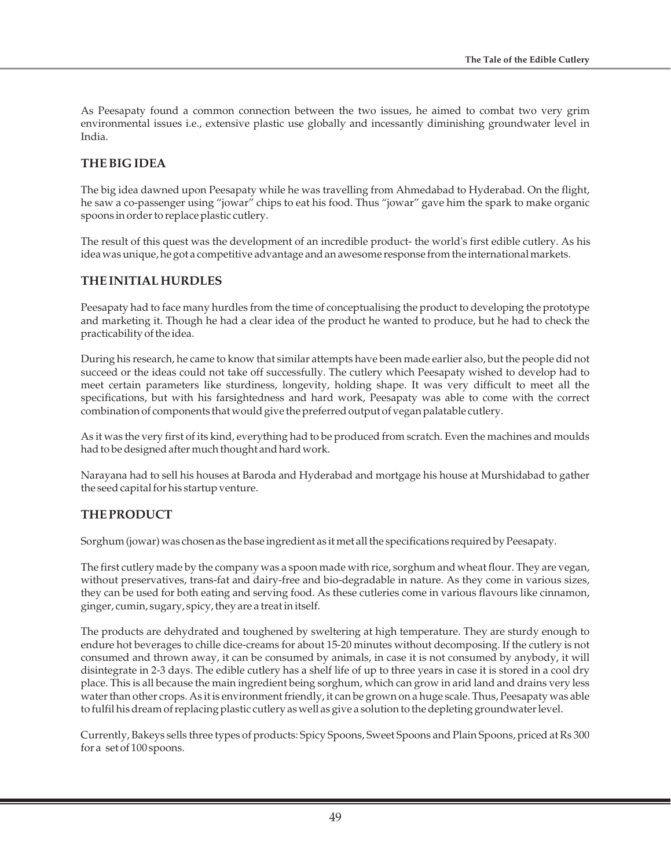As Peesapaty found a common connection between the two issues, he aimed to combat two very grim environmental issues i.e., extensive plastic use globally and incessantly diminishing groundwater level in India.

## **THE BIG IDEA**

The big idea dawned upon Peesapaty while he was travelling from Ahmedabad to Hyderabad. On the flight, he saw a co-passenger using "jowar" chips to eat his food. Thus "jowar" gave him the spark to make organic spoons in order to replace plastic cutlery.

The result of this quest was the development of an incredible product- the world's first edible cutlery. As his idea was unique, he got a competitive advantage and an awesome response from the international markets.

# **THE INITIAL HURDLES**

Peesapaty had to face many hurdles from the time of conceptualising the product to developing the prototype and marketing it. Though he had a clear idea of the product he wanted to produce, but he had to check the practicability of the idea.

During his research, he came to know that similar attempts have been made earlier also, but the people did not succeed or the ideas could not take off successfully. The cutlery which Peesapaty wished to develop had to meet certain parameters like sturdiness, longevity, holding shape. It was very difficult to meet all the specifications, but with his farsightedness and hard work, Peesapaty was able to come with the correct combination of components that would give the preferred output of vegan palatable cutlery.

As it was the very first of its kind, everything had to be produced from scratch. Even the machines and moulds had to be designed after much thought and hard work.

Narayana had to sell his houses at Baroda and Hyderabad and mortgage his house at Murshidabad to gather the seed capital for his startup venture.

## **THE PRODUCT**

Sorghum (jowar) was chosen as the base ingredient as it met all the specifications required by Peesapaty.

The first cutlery made by the company was a spoon made with rice, sorghum and wheat flour. They are vegan, without preservatives, trans-fat and dairy-free and bio-degradable in nature. As they come in various sizes, they can be used for both eating and serving food. As these cutleries come in various flavours like cinnamon, ginger, cumin, sugary, spicy, they are a treat in itself.

The products are dehydrated and toughened by sweltering at high temperature. They are sturdy enough to endure hot beverages to chille dice-creams for about 15-20 minutes without decomposing. If the cutlery is not consumed and thrown away, it can be consumed by animals, in case it is not consumed by anybody, it will disintegrate in 2-3 days. The edible cutlery has a shelf life of up to three years in case it is stored in a cool dry place. This is all because the main ingredient being sorghum, which can grow in arid land and drains very less water than other crops. As it is environment friendly, it can be grown on a huge scale. Thus, Peesapaty was able to fulfil his dream of replacing plastic cutlery as well as give a solution to the depleting groundwater level.

Currently, Bakeys sells three types of products: Spicy Spoons, Sweet Spoons and Plain Spoons, priced at Rs 300 for a set of 100 spoons.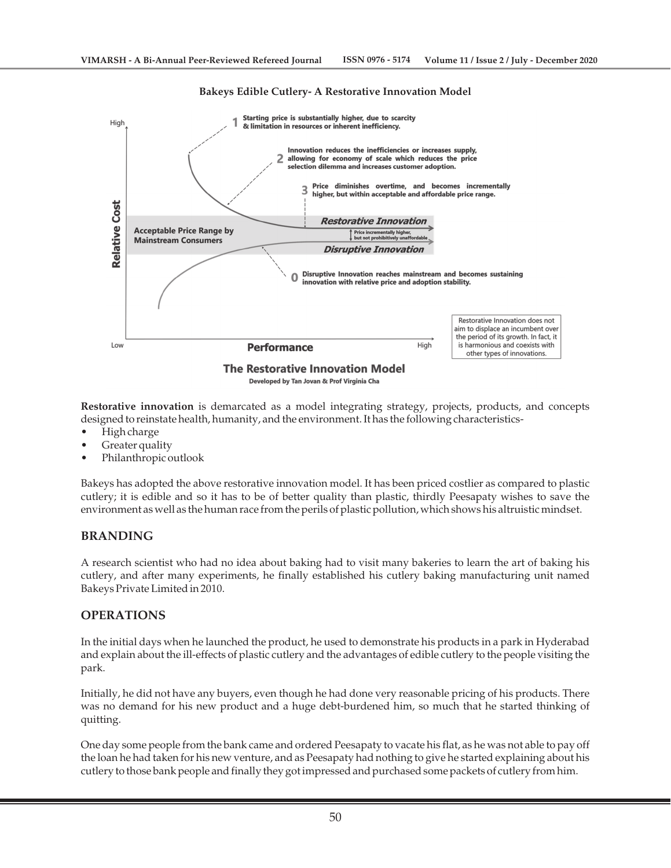#### **Bakeys Edible Cutlery- A Restorative Innovation Model**



**Restorative innovation** is demarcated as a model integrating strategy, projects, products, and concepts designed to reinstate health, humanity, and the environment. It has the following characteristics-

- High charge
- Greater quality
- Philanthropic outlook

Bakeys has adopted the above restorative innovation model. It has been priced costlier as compared to plastic cutlery; it is edible and so it has to be of better quality than plastic, thirdly Peesapaty wishes to save the environment as well as the human race from the perils of plastic pollution, which shows his altruistic mindset.

## **BRANDING**

A research scientist who had no idea about baking had to visit many bakeries to learn the art of baking his cutlery, and after many experiments, he finally established his cutlery baking manufacturing unit named Bakeys Private Limited in 2010.

## **OPERATIONS**

In the initial days when he launched the product, he used to demonstrate his products in a park in Hyderabad and explain about the ill-effects of plastic cutlery and the advantages of edible cutlery to the people visiting the park.

Initially, he did not have any buyers, even though he had done very reasonable pricing of his products. There was no demand for his new product and a huge debt-burdened him, so much that he started thinking of quitting.

One day some people from the bank came and ordered Peesapaty to vacate his flat, as he was not able to pay off the loan he had taken for his new venture, and as Peesapaty had nothing to give he started explaining about his cutlery to those bank people and finally they got impressed and purchased some packets of cutlery from him.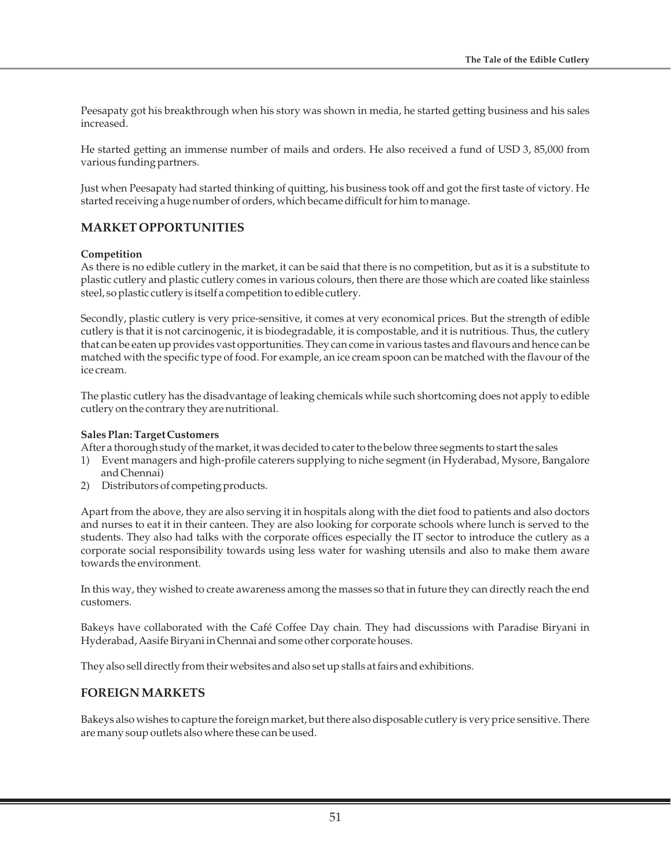Peesapaty got his breakthrough when his story was shown in media, he started getting business and his sales increased.

He started getting an immense number of mails and orders. He also received a fund of USD 3, 85,000 from various funding partners.

Just when Peesapaty had started thinking of quitting, his business took off and got the first taste of victory. He started receiving a huge number of orders, which became difficult for him to manage.

# **MARKET OPPORTUNITIES**

#### **Competition**

As there is no edible cutlery in the market, it can be said that there is no competition, but as it is a substitute to plastic cutlery and plastic cutlery comes in various colours, then there are those which are coated like stainless steel, so plastic cutlery is itself a competition to edible cutlery.

Secondly, plastic cutlery is very price-sensitive, it comes at very economical prices. But the strength of edible cutlery is that it is not carcinogenic, it is biodegradable, it is compostable, and it is nutritious. Thus, the cutlery that can be eaten up provides vast opportunities. They can come in various tastes and flavours and hence can be matched with the specific type of food. For example, an ice cream spoon can be matched with the flavour of the ice cream.

The plastic cutlery has the disadvantage of leaking chemicals while such shortcoming does not apply to edible cutlery on the contrary they are nutritional.

#### **Sales Plan: Target Customers**

After a thorough study of the market, it was decided to cater to the below three segments to start the sales

- 1) Event managers and high-profile caterers supplying to niche segment (in Hyderabad, Mysore, Bangalore and Chennai)
- 2) Distributors of competing products.

Apart from the above, they are also serving it in hospitals along with the diet food to patients and also doctors and nurses to eat it in their canteen. They are also looking for corporate schools where lunch is served to the students. They also had talks with the corporate offices especially the IT sector to introduce the cutlery as a corporate social responsibility towards using less water for washing utensils and also to make them aware towards the environment.

In this way, they wished to create awareness among the masses so that in future they can directly reach the end customers.

Bakeys have collaborated with the Café Coffee Day chain. They had discussions with Paradise Biryani in Hyderabad, Aasife Biryani in Chennai and some other corporate houses.

They also sell directly from their websites and also set up stalls at fairs and exhibitions.

## **FOREIGN MARKETS**

Bakeys also wishes to capture the foreign market, but there also disposable cutlery is very price sensitive. There are many soup outlets also where these can be used.